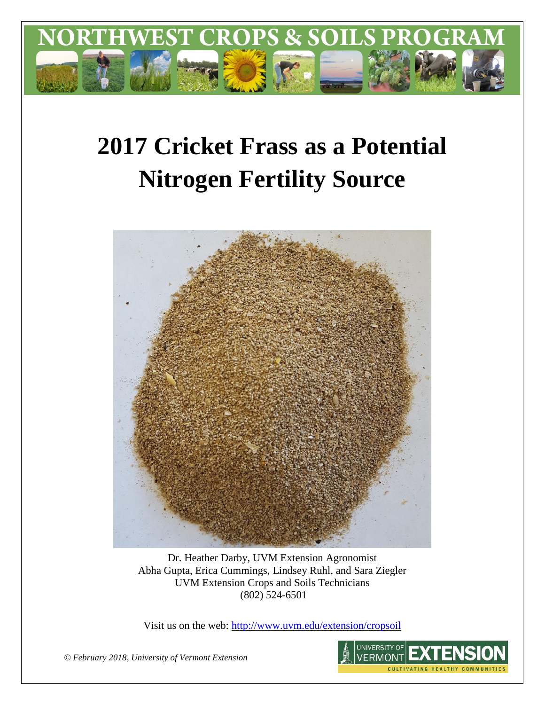

# **2017 Cricket Frass as a Potential Nitrogen Fertility Source**



Dr. Heather Darby, UVM Extension Agronomist Abha Gupta, Erica Cummings, Lindsey Ruhl, and Sara Ziegler UVM Extension Crops and Soils Technicians (802) 524-6501

Visit us on the web:<http://www.uvm.edu/extension/cropsoil>

*© February 2018, University of Vermont Extension* 

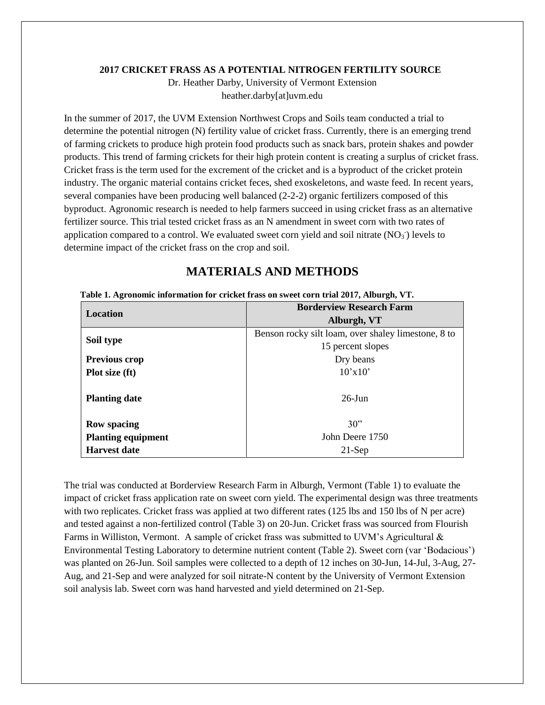#### **2017 CRICKET FRASS AS A POTENTIAL NITROGEN FERTILITY SOURCE**

Dr. Heather Darby, University of Vermont Extension heather.darby[at]uvm.edu

In the summer of 2017, the UVM Extension Northwest Crops and Soils team conducted a trial to determine the potential nitrogen (N) fertility value of cricket frass. Currently, there is an emerging trend of farming crickets to produce high protein food products such as snack bars, protein shakes and powder products. This trend of farming crickets for their high protein content is creating a surplus of cricket frass. Cricket frass is the term used for the excrement of the cricket and is a byproduct of the cricket protein industry. The organic material contains cricket feces, shed exoskeletons, and waste feed. In recent years, several companies have been producing well balanced (2-2-2) organic fertilizers composed of this byproduct. Agronomic research is needed to help farmers succeed in using cricket frass as an alternative fertilizer source. This trial tested cricket frass as an N amendment in sweet corn with two rates of application compared to a control. We evaluated sweet corn yield and soil nitrate  $(NO<sub>3</sub>)$  levels to determine impact of the cricket frass on the crop and soil.

# **MATERIALS AND METHODS**

|                           | <b>Borderview Research Farm</b>                     |  |  |  |
|---------------------------|-----------------------------------------------------|--|--|--|
| Location                  | Alburgh, VT                                         |  |  |  |
|                           | Benson rocky silt loam, over shaley limestone, 8 to |  |  |  |
| Soil type                 | 15 percent slopes                                   |  |  |  |
| <b>Previous crop</b>      | Dry beans                                           |  |  |  |
| Plot size (ft)            | 10'x10'                                             |  |  |  |
|                           |                                                     |  |  |  |
| <b>Planting date</b>      | $26$ -Jun                                           |  |  |  |
|                           |                                                     |  |  |  |
| <b>Row spacing</b>        | 30"                                                 |  |  |  |
| <b>Planting equipment</b> | John Deere 1750                                     |  |  |  |
| <b>Harvest date</b>       | $21-Sep$                                            |  |  |  |

|  | Table 1. Agronomic information for cricket frass on sweet corn trial 2017, Alburgh, VT. |  |  |  |
|--|-----------------------------------------------------------------------------------------|--|--|--|
|  |                                                                                         |  |  |  |

The trial was conducted at Borderview Research Farm in Alburgh, Vermont (Table 1) to evaluate the impact of cricket frass application rate on sweet corn yield. The experimental design was three treatments with two replicates. Cricket frass was applied at two different rates (125 lbs and 150 lbs of N per acre) and tested against a non-fertilized control (Table 3) on 20-Jun. Cricket frass was sourced from Flourish Farms in Williston, Vermont. A sample of cricket frass was submitted to UVM's Agricultural & Environmental Testing Laboratory to determine nutrient content (Table 2). Sweet corn (var 'Bodacious') was planted on 26-Jun. Soil samples were collected to a depth of 12 inches on 30-Jun, 14-Jul, 3-Aug, 27- Aug, and 21-Sep and were analyzed for soil nitrate-N content by the University of Vermont Extension soil analysis lab. Sweet corn was hand harvested and yield determined on 21-Sep.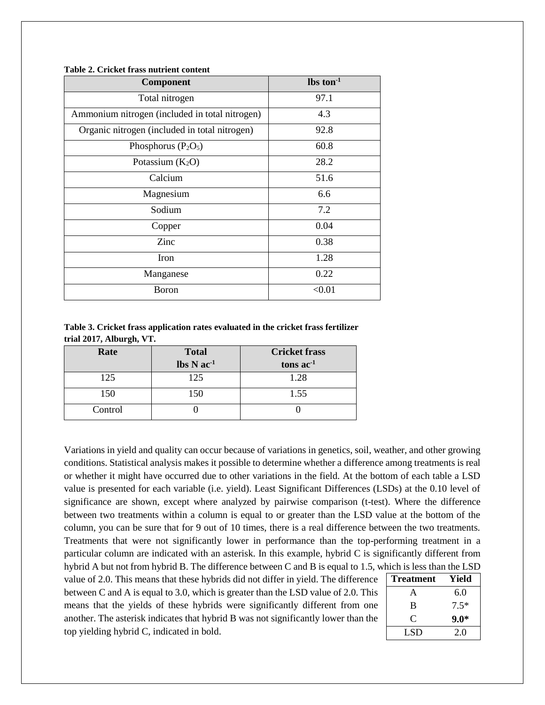| Component                                      | $\text{lbs ton}^{-1}$ |
|------------------------------------------------|-----------------------|
| Total nitrogen                                 | 97.1                  |
| Ammonium nitrogen (included in total nitrogen) | 4.3                   |
| Organic nitrogen (included in total nitrogen)  | 92.8                  |
| Phosphorus $(P_2O_5)$                          | 60.8                  |
| Potassium $(K_2O)$                             | 28.2                  |
| Calcium                                        | 51.6                  |
| Magnesium                                      | 6.6                   |
| Sodium                                         | 7.2                   |
| Copper                                         | 0.04                  |
| Zinc                                           | 0.38                  |
| Iron                                           | 1.28                  |
| Manganese                                      | 0.22                  |
| Boron                                          | < 0.01                |

#### **Table 2. Cricket frass nutrient content**

**Table 3. Cricket frass application rates evaluated in the cricket frass fertilizer trial 2017, Alburgh, VT.**

| Rate    | <b>Total</b>                               | <b>Cricket frass</b> |  |  |
|---------|--------------------------------------------|----------------------|--|--|
|         | $\text{lbs} \, \text{N} \, \text{ac}^{-1}$ | tons $ac^{-1}$       |  |  |
| 125     | 125                                        | 1.28                 |  |  |
| 150     | 150                                        | 1.55                 |  |  |
| Control |                                            |                      |  |  |

Variations in yield and quality can occur because of variations in genetics, soil, weather, and other growing conditions. Statistical analysis makes it possible to determine whether a difference among treatments is real or whether it might have occurred due to other variations in the field. At the bottom of each table a LSD value is presented for each variable (i.e. yield). Least Significant Differences (LSDs) at the 0.10 level of significance are shown, except where analyzed by pairwise comparison (t-test). Where the difference between two treatments within a column is equal to or greater than the LSD value at the bottom of the column, you can be sure that for 9 out of 10 times, there is a real difference between the two treatments. Treatments that were not significantly lower in performance than the top-performing treatment in a particular column are indicated with an asterisk. In this example, hybrid C is significantly different from hybrid A but not from hybrid B. The difference between C and B is equal to 1.5, which is less than the LSD

value of 2.0. This means that these hybrids did not differ in yield. The difference between C and A is equal to 3.0, which is greater than the LSD value of 2.0. This means that the yields of these hybrids were significantly different from one another. The asterisk indicates that hybrid B was not significantly lower than the top yielding hybrid C, indicated in bold.

| <b>Treatment</b> | Yield  |
|------------------|--------|
| А                | 6.0    |
| B                | $7.5*$ |
| C                | $9.0*$ |
| LSD              | 2.0    |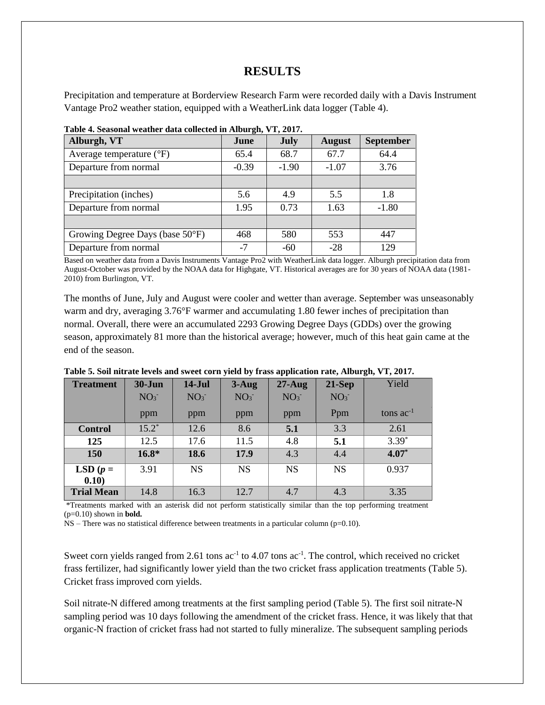## **RESULTS**

Precipitation and temperature at Borderview Research Farm were recorded daily with a Davis Instrument Vantage Pro2 weather station, equipped with a WeatherLink data logger (Table 4).

| Alburgh, VT                         | June    | <b>July</b> | <b>August</b> | <b>September</b> |
|-------------------------------------|---------|-------------|---------------|------------------|
| Average temperature $({}^{\circ}F)$ | 65.4    | 68.7        | 67.7          | 64.4             |
| Departure from normal               | $-0.39$ | $-1.90$     | $-1.07$       | 3.76             |
|                                     |         |             |               |                  |
| Precipitation (inches)              | 5.6     | 4.9         | 5.5           | 1.8              |
| Departure from normal               | 1.95    | 0.73        | 1.63          | $-1.80$          |
|                                     |         |             |               |                  |
| Growing Degree Days (base 50°F)     | 468     | 580         | 553           | 447              |
| Departure from normal               | $-7$    | $-60$       | $-28$         | 129              |

**Table 4. Seasonal weather data collected in Alburgh, VT, 2017.**

Based on weather data from a Davis Instruments Vantage Pro2 with WeatherLink data logger. Alburgh precipitation data from August-October was provided by the NOAA data for Highgate, VT. Historical averages are for 30 years of NOAA data (1981- 2010) from Burlington, VT.

The months of June, July and August were cooler and wetter than average. September was unseasonably warm and dry, averaging 3.76°F warmer and accumulating 1.80 fewer inches of precipitation than normal. Overall, there were an accumulated 2293 Growing Degree Days (GDDs) over the growing season, approximately 81 more than the historical average; however, much of this heat gain came at the end of the season.

| <b>Treatment</b>    | $30 - Jun$      | $14-Jul$        | $3 - Aug$       | $27 - Aug$      | $21-Sep$        | Yield          |
|---------------------|-----------------|-----------------|-----------------|-----------------|-----------------|----------------|
|                     | NO <sub>3</sub> | NO <sub>3</sub> | NO <sub>3</sub> | NO <sub>3</sub> | NO <sub>3</sub> |                |
|                     | ppm             | ppm             | ppm             | ppm             | Ppm             | tons $ac^{-1}$ |
| <b>Control</b>      | $15.2^*$        | 12.6            | 8.6             | 5.1             | 3.3             | 2.61           |
| 125                 | 12.5            | 17.6            | 11.5            | 4.8             | 5.1             | $3.39*$        |
| 150                 | $16.8*$         | 18.6            | 17.9            | 4.3             | 4.4             | $4.07*$        |
| LSD $(p =$<br>0.10) | 3.91            | <b>NS</b>       | <b>NS</b>       | <b>NS</b>       | <b>NS</b>       | 0.937          |
| <b>Trial Mean</b>   | 14.8            | 16.3            | 12.7            | 4.7             | 4.3             | 3.35           |

**Table 5. Soil nitrate levels and sweet corn yield by frass application rate, Alburgh, VT, 2017.** 

\*Treatments marked with an asterisk did not perform statistically similar than the top performing treatment (p=0.10) shown in **bold.**

 $NS$  – There was no statistical difference between treatments in a particular column (p=0.10).

Sweet corn yields ranged from 2.61 tons  $ac^{-1}$  to 4.07 tons  $ac^{-1}$ . The control, which received no cricket frass fertilizer, had significantly lower yield than the two cricket frass application treatments (Table 5). Cricket frass improved corn yields.

Soil nitrate-N differed among treatments at the first sampling period (Table 5). The first soil nitrate-N sampling period was 10 days following the amendment of the cricket frass. Hence, it was likely that that organic-N fraction of cricket frass had not started to fully mineralize. The subsequent sampling periods